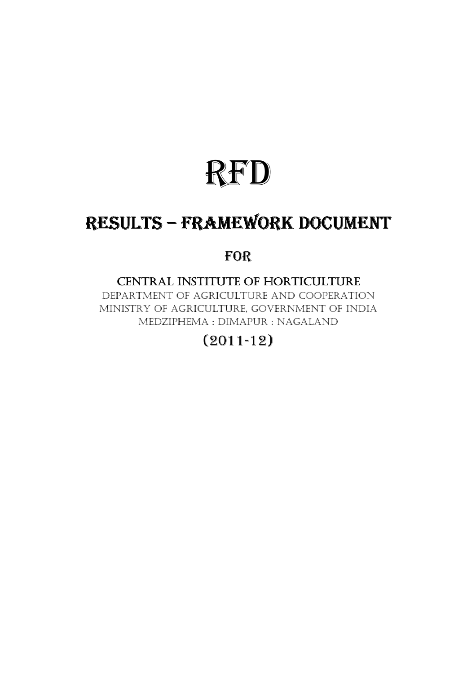# RFD

## RESULTS – FRAMEWORK DOCUMENT

### FOR

#### CENTRAL INSTITUTE OF HORTICULTURE

DEPARTMENT OF AGRICULTURE AND COOPERATION MINISTRY OF AGRICULTURE, GOVERNMENT OF INDIA MEDZIPHEMA : DIMAPUR : NAGALAND

## (2011-12)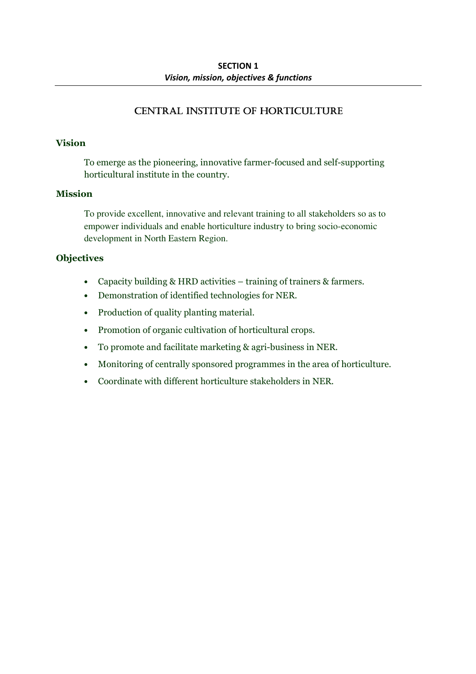#### CENTRAL INSTITUTE OF HORTICULTURE

#### Vision

To emerge as the pioneering, innovative farmer-focused and self-supporting horticultural institute in the country.

#### Mission

To provide excellent, innovative and relevant training to all stakeholders so as to empower individuals and enable horticulture industry to bring socio-economic development in North Eastern Region.

#### **Objectives**

- Capacity building & HRD activities training of trainers & farmers.
- Demonstration of identified technologies for NER.
- Production of quality planting material.
- Promotion of organic cultivation of horticultural crops.
- To promote and facilitate marketing & agri-business in NER.
- Monitoring of centrally sponsored programmes in the area of horticulture.
- Coordinate with different horticulture stakeholders in NER.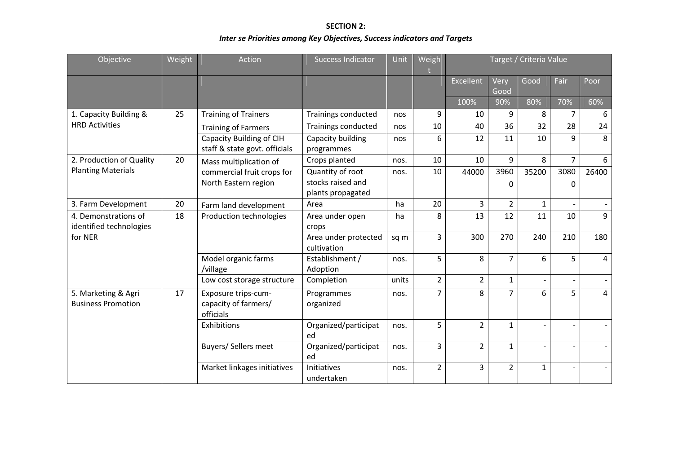SECTION 2: Inter se Priorities among Key Objectives, Success indicators and Targets

| Objective                                        | Weight | Action                                                   | <b>Success Indicator</b>            | Unit  | Weigh          | Target / Criteria Value |                |                |                          |       |
|--------------------------------------------------|--------|----------------------------------------------------------|-------------------------------------|-------|----------------|-------------------------|----------------|----------------|--------------------------|-------|
|                                                  |        |                                                          |                                     |       |                | <b>Excellent</b>        | Very<br>Good   | Good           | Fair                     | Poor  |
|                                                  |        |                                                          |                                     |       |                | 100%                    | 90%            | 80%            | 70%                      | 60%   |
| 1. Capacity Building &                           | 25     | <b>Training of Trainers</b>                              | Trainings conducted                 | nos   | 9              | 10                      | 9              | 8              | 7                        | 6     |
| <b>HRD Activities</b>                            |        | <b>Training of Farmers</b>                               | Trainings conducted                 | nos   | 10             | 40                      | 36             | 32             | 28                       | 24    |
|                                                  |        | Capacity Building of CIH                                 | Capacity building                   | nos   | 6              | 12                      | 11             | 10             | 9                        | 8     |
|                                                  |        | staff & state govt. officials                            | programmes                          |       |                |                         |                |                |                          |       |
| 2. Production of Quality                         | 20     | Mass multiplication of<br>commercial fruit crops for     | Crops planted                       | nos.  | 10             | 10                      | 9              | 8              | $\overline{7}$           | 6     |
| <b>Planting Materials</b>                        |        |                                                          | Quantity of root                    | nos.  | 10             | 44000                   | 3960           | 35200          | 3080                     | 26400 |
|                                                  |        | North Eastern region                                     | stocks raised and                   |       |                |                         | $\Omega$       |                | 0                        |       |
|                                                  |        |                                                          | plants propagated                   |       |                |                         |                |                |                          |       |
| 3. Farm Development                              | 20     | Farm land development                                    | Area                                | ha    | 20             | 3                       | $\overline{2}$ | $\mathbf{1}$   |                          |       |
| 4. Demonstrations of                             | 18     | Production technologies                                  | Area under open                     | ha    | 8              | 13                      | 12             | 11             | 10                       | 9     |
| identified technologies                          |        |                                                          | crops                               |       |                |                         |                |                |                          |       |
| for NER                                          |        |                                                          | Area under protected<br>cultivation | sq m  | $\overline{3}$ | 300                     | 270            | 240            | 210                      | 180   |
|                                                  |        | Model organic farms<br>/village                          | Establishment /<br>Adoption         | nos.  | 5              | 8                       | $\overline{7}$ | 6              | 5                        | 4     |
|                                                  |        | Low cost storage structure                               | Completion                          | units | $\overline{2}$ | $\overline{2}$          | $\mathbf{1}$   | $\blacksquare$ | $\blacksquare$           |       |
| 5. Marketing & Agri<br><b>Business Promotion</b> | 17     | Exposure trips-cum-<br>capacity of farmers/<br>officials | Programmes<br>organized             | nos.  | $\overline{7}$ | 8                       | $\overline{7}$ | 6              | 5                        | 4     |
|                                                  |        | Exhibitions                                              | Organized/participat<br>ed          | nos.  | 5              | $\overline{2}$          | $\mathbf{1}$   |                |                          |       |
|                                                  |        | <b>Buyers/ Sellers meet</b>                              | Organized/participat<br>ed          | nos.  | 3              | $\overline{2}$          | $\mathbf{1}$   | $\sim$         | $\overline{a}$           |       |
|                                                  |        | Market linkages initiatives                              | <b>Initiatives</b><br>undertaken    | nos.  | $\overline{2}$ | 3                       | $\overline{2}$ | $\mathbf{1}$   | $\overline{\phantom{0}}$ |       |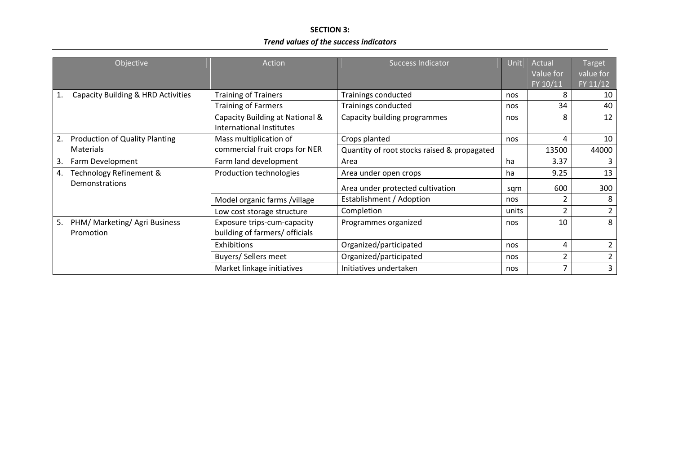#### SECTION 3: Trend values of the success indicators

| Objective                                        | Action                                                        | <b>Success Indicator</b>                    | Unit | Actual<br>Value for | Target<br>value for |
|--------------------------------------------------|---------------------------------------------------------------|---------------------------------------------|------|---------------------|---------------------|
|                                                  |                                                               |                                             |      | FY 10/11            | FY 11/12            |
| Capacity Building & HRD Activities<br>1.         | <b>Training of Trainers</b>                                   | Trainings conducted                         | nos  | 8                   | 10                  |
|                                                  | <b>Training of Farmers</b>                                    | Trainings conducted                         | nos  | 34                  | 40                  |
|                                                  | Capacity Building at National &<br>International Institutes   | Capacity building programmes                | nos  | 8                   | 12                  |
| Production of Quality Planting<br>2.             | Mass multiplication of                                        | Crops planted                               | nos  | 4                   | 10                  |
| <b>Materials</b>                                 | commercial fruit crops for NER                                | Quantity of root stocks raised & propagated |      | 13500               | 44000               |
| Farm Development<br>3.                           | Farm land development                                         | Area                                        | ha   | 3.37                | 3                   |
| Technology Refinement &<br>4.                    | Production technologies                                       | Area under open crops                       |      | 9.25                | 13                  |
| Demonstrations                                   |                                                               | Area under protected cultivation            |      | 600                 | 300                 |
|                                                  | Model organic farms /village                                  | Establishment / Adoption                    | nos  | 2                   | 8                   |
|                                                  | Low cost storage structure                                    | Completion                                  |      | $\overline{2}$      | $\overline{2}$      |
| 5.<br>PHM/ Marketing/ Agri Business<br>Promotion | Exposure trips-cum-capacity<br>building of farmers/ officials | Programmes organized                        | nos  | 10                  | 8                   |
|                                                  | Exhibitions                                                   | Organized/participated                      | nos  | 4                   | $\mathbf{2}$        |
|                                                  | Buyers/ Sellers meet                                          | Organized/participated                      | nos  | 2                   | $\overline{2}$      |
|                                                  | Market linkage initiatives                                    | Initiatives undertaken                      | nos  | 7                   | 3                   |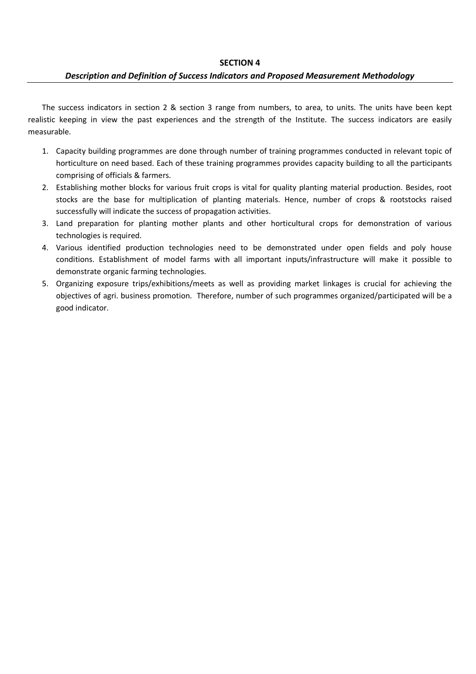#### Description and Definition of Success Indicators and Proposed Measurement Methodology

The success indicators in section 2 & section 3 range from numbers, to area, to units. The units have been kept realistic keeping in view the past experiences and the strength of the Institute. The success indicators are easily measurable.

- 1. Capacity building programmes are done through number of training programmes conducted in relevant topic of horticulture on need based. Each of these training programmes provides capacity building to all the participants comprising of officials & farmers.
- 2. Establishing mother blocks for various fruit crops is vital for quality planting material production. Besides, root stocks are the base for multiplication of planting materials. Hence, number of crops & rootstocks raised successfully will indicate the success of propagation activities.
- 3. Land preparation for planting mother plants and other horticultural crops for demonstration of various technologies is required.
- 4. Various identified production technologies need to be demonstrated under open fields and poly house conditions. Establishment of model farms with all important inputs/infrastructure will make it possible to demonstrate organic farming technologies.
- 5. Organizing exposure trips/exhibitions/meets as well as providing market linkages is crucial for achieving the objectives of agri. business promotion. Therefore, number of such programmes organized/participated will be a good indicator.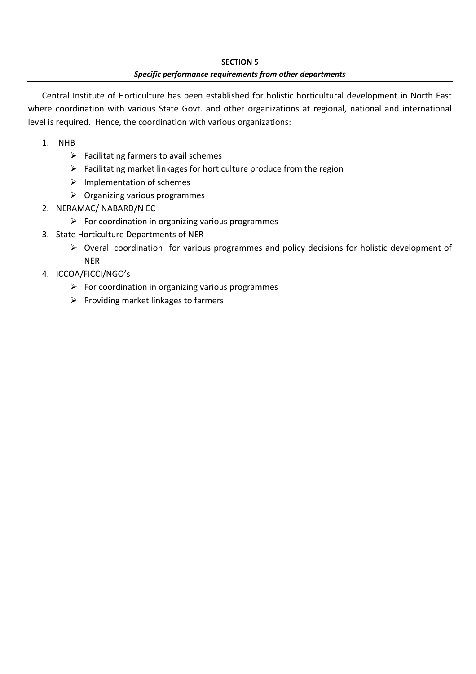#### SECTION 5 Specific performance requirements from other departments

Central Institute of Horticulture has been established for holistic horticultural development in North East where coordination with various State Govt. and other organizations at regional, national and international level is required. Hence, the coordination with various organizations:

- 1. NHB
	- $\triangleright$  Facilitating farmers to avail schemes
	- $\triangleright$  Facilitating market linkages for horticulture produce from the region
	- $\triangleright$  Implementation of schemes
	- $\triangleright$  Organizing various programmes
- 2. NERAMAC/ NABARD/N EC
	- $\triangleright$  For coordination in organizing various programmes
- 3. State Horticulture Departments of NER
	- Overall coordination for various programmes and policy decisions for holistic development of NER
- 4. ICCOA/FICCI/NGO's
	- $\triangleright$  For coordination in organizing various programmes
	- $\triangleright$  Providing market linkages to farmers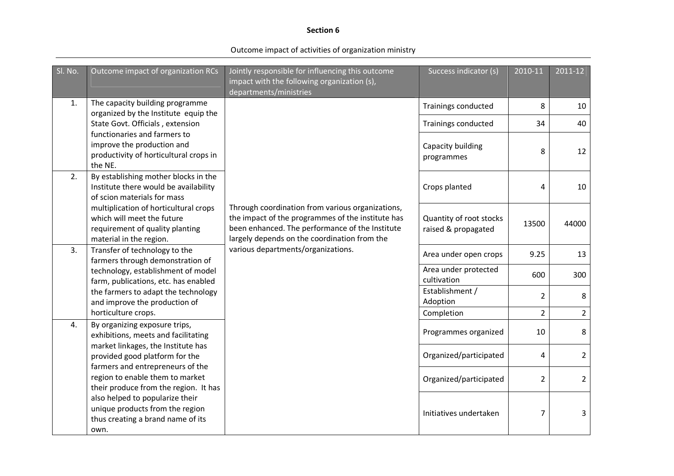#### Section 6

Outcome impact of activities of organization ministry

| Sl. No.        | Outcome impact of organization RCs                                                                                                | Jointly responsible for influencing this outcome<br>impact with the following organization (s),<br>departments/ministries                                                                                | Success indicator (s)                          | 2010-11        | 2011-12        |
|----------------|-----------------------------------------------------------------------------------------------------------------------------------|----------------------------------------------------------------------------------------------------------------------------------------------------------------------------------------------------------|------------------------------------------------|----------------|----------------|
| 1.             | The capacity building programme                                                                                                   |                                                                                                                                                                                                          | Trainings conducted                            | 8              | 10             |
|                | organized by the Institute equip the<br>State Govt. Officials, extension                                                          |                                                                                                                                                                                                          | Trainings conducted                            | 34             | 40             |
|                | functionaries and farmers to<br>improve the production and<br>productivity of horticultural crops in<br>the NE.                   |                                                                                                                                                                                                          | Capacity building<br>programmes                | 8              | 12             |
| 2.             | By establishing mother blocks in the<br>Institute there would be availability<br>of scion materials for mass                      |                                                                                                                                                                                                          | Crops planted                                  | 4              | 10             |
|                | multiplication of horticultural crops<br>which will meet the future<br>requirement of quality planting<br>material in the region. | Through coordination from various organizations,<br>the impact of the programmes of the institute has<br>been enhanced. The performance of the Institute<br>largely depends on the coordination from the | Quantity of root stocks<br>raised & propagated | 13500          | 44000          |
| 3 <sub>1</sub> | Transfer of technology to the<br>farmers through demonstration of                                                                 | various departments/organizations.                                                                                                                                                                       | Area under open crops                          | 9.25           | 13             |
|                | technology, establishment of model<br>farm, publications, etc. has enabled                                                        |                                                                                                                                                                                                          | Area under protected<br>cultivation            | 600            | 300            |
|                | the farmers to adapt the technology<br>and improve the production of                                                              |                                                                                                                                                                                                          | Establishment /<br>Adoption                    | $\overline{2}$ | 8              |
|                | horticulture crops.                                                                                                               |                                                                                                                                                                                                          | Completion                                     | $\overline{2}$ | $\overline{2}$ |
| 4.             | By organizing exposure trips,<br>exhibitions, meets and facilitating                                                              |                                                                                                                                                                                                          | Programmes organized                           | 10             | 8              |
|                | market linkages, the Institute has<br>provided good platform for the                                                              |                                                                                                                                                                                                          | Organized/participated                         | 4              | $\overline{2}$ |
|                | farmers and entrepreneurs of the<br>region to enable them to market<br>their produce from the region. It has                      |                                                                                                                                                                                                          | Organized/participated                         | $\overline{2}$ | $\overline{2}$ |
|                | also helped to popularize their<br>unique products from the region<br>thus creating a brand name of its<br>own.                   |                                                                                                                                                                                                          | Initiatives undertaken                         | $\overline{7}$ | 3              |